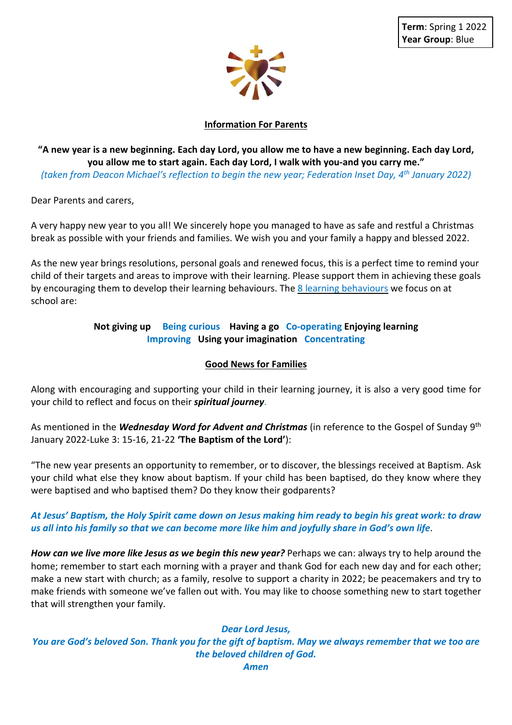

# **Information For Parents**

"A new year is a new beginning. Each day Lord, you allow me to have a new beginning. Each day Lord, **you allow me to start again. Each day Lord, I walk with you-and you carry me."**

*(taken from Deacon Michael's reflection to begin the new year; Federation Inset Day, 4 th January 2022)*

Dear Parents and carers,

A very happy new year to you all! We sincerely hope you managed to have as safe and restful a Christmas break as possible with your friends and families. We wish you and your family a happy and blessed 2022.

As the new year brings resolutions, personal goals and renewed focus, this is a perfect time to remind your child of their targets and areas to improve with their learning. Please support them in achieving these goals by encouraging them to develop their learning behaviours. The 8 learning behaviours we focus on at school are:

## **Not giving up Being curious Having a go Co-operating Enjoying learning Improving Using your imagination Concentrating**

#### **Good News for Families**

Along with encouraging and supporting your child in their learning journey, it is also a very good time for your child to reflect and focus on their *spiritual journey*.

As mentioned in the *Wednesday Word for Advent and Christmas* (in reference to the Gospel of Sunday 9 th January 2022-Luke 3: 15-16, 21-22 **'The Baptism of the Lord'**):

"The new year presents an opportunity to remember, or to discover, the blessings received at Baptism. Ask your child what else they know about baptism. If your child has been baptised, do they know where they were baptised and who baptised them? Do they know their godparents?

## At Jesus' Baptism, the Holy Spirit came down on Jesus making him ready to begin his great work: to draw us all into his family so that we can become more like him and joyfully share in God's own life.

*How can we live more like Jesus as we begin this new year?* Perhaps we can: always try to help around the home; remember to start each morning with a prayer and thank God for each new day and for each other; make a new start with church; as a family, resolve to support a charity in 2022; be peacemakers and try to make friends with someone we've fallen out with. You may like to choose something new to start together that will strengthen your family.

#### *Dear Lord Jesus,*

You are God's beloved Son. Thank you for the gift of baptism. May we always remember that we too are *the beloved children of God.*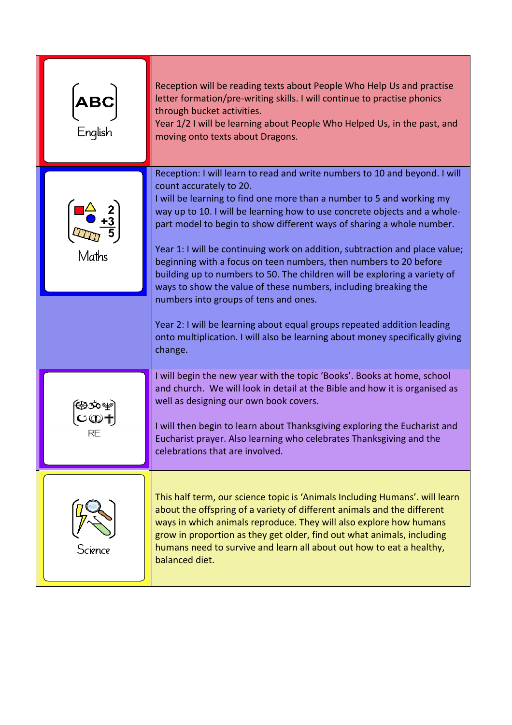| ABC<br>English | Reception will be reading texts about People Who Help Us and practise<br>letter formation/pre-writing skills. I will continue to practise phonics<br>through bucket activities.<br>Year 1/2 I will be learning about People Who Helped Us, in the past, and<br>moving onto texts about Dragons.                                                                                                                                                                                                                                                                                                                                                                                                                                                                                                                                                         |
|----------------|---------------------------------------------------------------------------------------------------------------------------------------------------------------------------------------------------------------------------------------------------------------------------------------------------------------------------------------------------------------------------------------------------------------------------------------------------------------------------------------------------------------------------------------------------------------------------------------------------------------------------------------------------------------------------------------------------------------------------------------------------------------------------------------------------------------------------------------------------------|
| Maths          | Reception: I will learn to read and write numbers to 10 and beyond. I will<br>count accurately to 20.<br>I will be learning to find one more than a number to 5 and working my<br>way up to 10. I will be learning how to use concrete objects and a whole-<br>part model to begin to show different ways of sharing a whole number.<br>Year 1: I will be continuing work on addition, subtraction and place value;<br>beginning with a focus on teen numbers, then numbers to 20 before<br>building up to numbers to 50. The children will be exploring a variety of<br>ways to show the value of these numbers, including breaking the<br>numbers into groups of tens and ones.<br>Year 2: I will be learning about equal groups repeated addition leading<br>onto multiplication. I will also be learning about money specifically giving<br>change. |
| RE             | I will begin the new year with the topic 'Books'. Books at home, school<br>and church. We will look in detail at the Bible and how it is organised as<br>well as designing our own book covers.<br>I will then begin to learn about Thanksgiving exploring the Eucharist and<br>Eucharist prayer. Also learning who celebrates Thanksgiving and the<br>celebrations that are involved.                                                                                                                                                                                                                                                                                                                                                                                                                                                                  |
| Science        | This half term, our science topic is 'Animals Including Humans'. will learn<br>about the offspring of a variety of different animals and the different<br>ways in which animals reproduce. They will also explore how humans<br>grow in proportion as they get older, find out what animals, including<br>humans need to survive and learn all about out how to eat a healthy,<br>balanced diet.                                                                                                                                                                                                                                                                                                                                                                                                                                                        |